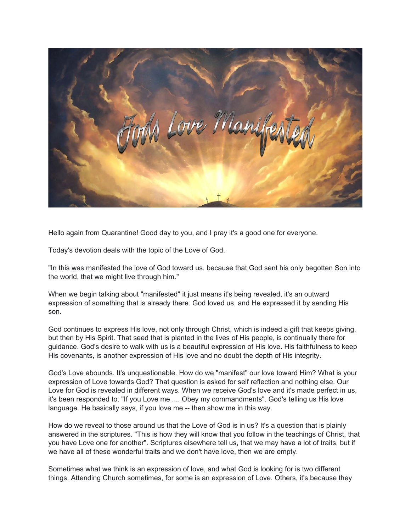

Hello again from Quarantine! Good day to you, and I pray it's a good one for everyone.

Today's devotion deals with the topic of the Love of God.

"In this was manifested the love of God toward us, because that God sent his only begotten Son into the world, that we might live through him."

When we begin talking about "manifested" it just means it's being revealed, it's an outward expression of something that is already there. God loved us, and He expressed it by sending His son.

God continues to express His love, not only through Christ, which is indeed a gift that keeps giving, but then by His Spirit. That seed that is planted in the lives of His people, is continually there for guidance. God's desire to walk with us is a beautiful expression of His love. His faithfulness to keep His covenants, is another expression of His love and no doubt the depth of His integrity.

God's Love abounds. It's unquestionable. How do we "manifest" our love toward Him? What is your expression of Love towards God? That question is asked for self reflection and nothing else. Our Love for God is revealed in different ways. When we receive God's love and it's made perfect in us, it's been responded to. "If you Love me .... Obey my commandments". God's telling us His love language. He basically says, if you love me -- then show me in this way.

How do we reveal to those around us that the Love of God is in us? It's a question that is plainly answered in the scriptures. "This is how they will know that you follow in the teachings of Christ, that you have Love one for another". Scriptures elsewhere tell us, that we may have a lot of traits, but if we have all of these wonderful traits and we don't have love, then we are empty.

Sometimes what we think is an expression of love, and what God is looking for is two different things. Attending Church sometimes, for some is an expression of Love. Others, it's because they